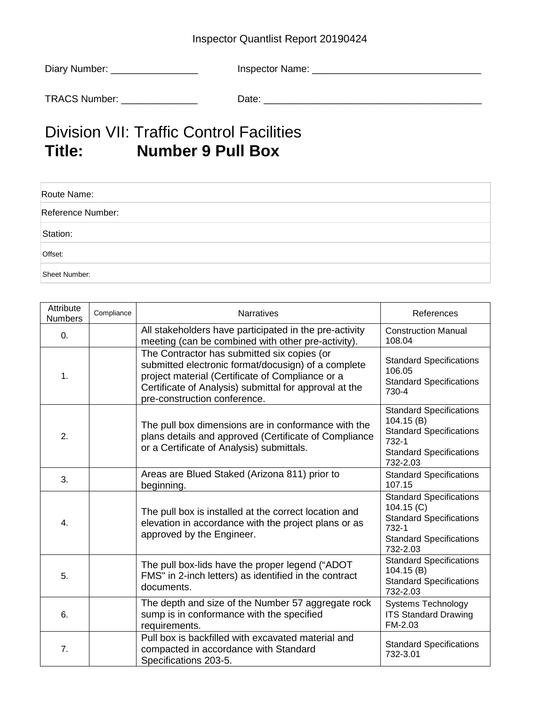## Inspector Quantlist Report 20190424

| Diary Number: | Inspector Name: |
|---------------|-----------------|
| TRACS Number: | Date:           |

## Division VII: Traffic Control Facilities<br>
Title: Number 9 Pull Box **Number 9 Pull Box**

| Route Name:       |  |
|-------------------|--|
| Reference Number: |  |
| Station:          |  |
| Offset:           |  |
| Sheet Number:     |  |

| Attribute<br><b>Numbers</b> | Compliance | <b>Narratives</b>                                                                                                                                                                                                                                | References                                                                                                                           |
|-----------------------------|------------|--------------------------------------------------------------------------------------------------------------------------------------------------------------------------------------------------------------------------------------------------|--------------------------------------------------------------------------------------------------------------------------------------|
| 0.                          |            | All stakeholders have participated in the pre-activity<br>meeting (can be combined with other pre-activity).                                                                                                                                     | <b>Construction Manual</b><br>108.04                                                                                                 |
| 1.                          |            | The Contractor has submitted six copies (or<br>submitted electronic format/docusign) of a complete<br>project material (Certificate of Compliance or a<br>Certificate of Analysis) submittal for approval at the<br>pre-construction conference. | <b>Standard Specifications</b><br>106.05<br><b>Standard Specifications</b><br>730-4                                                  |
| 2.                          |            | The pull box dimensions are in conformance with the<br>plans details and approved (Certificate of Compliance<br>or a Certificate of Analysis) submittals.                                                                                        | <b>Standard Specifications</b><br>104.15(B)<br><b>Standard Specifications</b><br>732-1<br><b>Standard Specifications</b><br>732-2.03 |
| 3.                          |            | Areas are Blued Staked (Arizona 811) prior to<br>beginning.                                                                                                                                                                                      | <b>Standard Specifications</b><br>107.15                                                                                             |
| 4.                          |            | The pull box is installed at the correct location and<br>elevation in accordance with the project plans or as<br>approved by the Engineer.                                                                                                       | <b>Standard Specifications</b><br>104.15(C)<br><b>Standard Specifications</b><br>732-1<br><b>Standard Specifications</b><br>732-2.03 |
| 5.                          |            | The pull box-lids have the proper legend ("ADOT<br>FMS" in 2-inch letters) as identified in the contract<br>documents.                                                                                                                           | <b>Standard Specifications</b><br>104.15(B)<br><b>Standard Specifications</b><br>732-2.03                                            |
| 6.                          |            | The depth and size of the Number 57 aggregate rock<br>sump is in conformance with the specified<br>requirements.                                                                                                                                 | <b>Systems Technology</b><br><b>ITS Standard Drawing</b><br>FM-2.03                                                                  |
| 7.                          |            | Pull box is backfilled with excavated material and<br>compacted in accordance with Standard<br>Specifications 203-5.                                                                                                                             | <b>Standard Specifications</b><br>732-3.01                                                                                           |